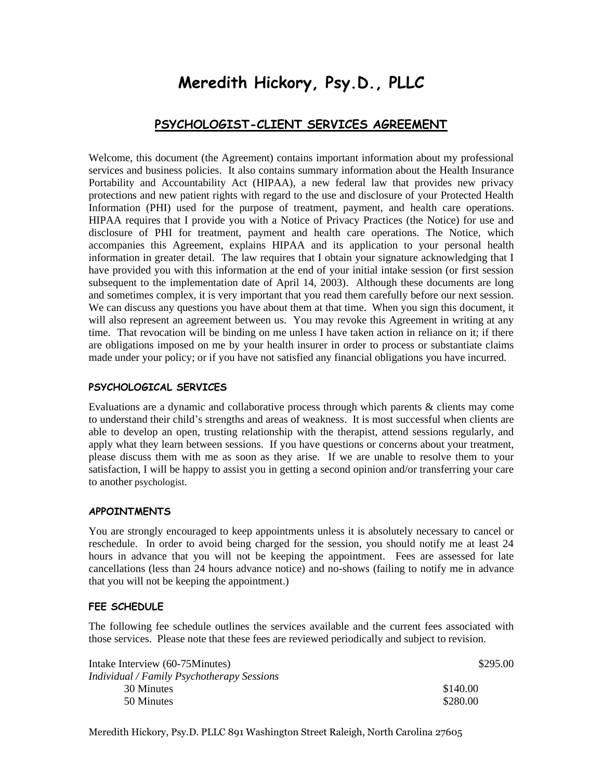# **Meredith Hickory, Psy.D., PLLC**

# **PSYCHOLOGIST-CLIENT SERVICES AGREEMENT**

Welcome, this document (the Agreement) contains important information about my professional services and business policies. It also contains summary information about the Health Insurance Portability and Accountability Act (HIPAA), a new federal law that provides new privacy protections and new patient rights with regard to the use and disclosure of your Protected Health Information (PHI) used for the purpose of treatment, payment, and health care operations. HIPAA requires that I provide you with a Notice of Privacy Practices (the Notice) for use and disclosure of PHI for treatment, payment and health care operations. The Notice, which accompanies this Agreement, explains HIPAA and its application to your personal health information in greater detail. The law requires that I obtain your signature acknowledging that I have provided you with this information at the end of your initial intake session (or first session subsequent to the implementation date of April 14, 2003). Although these documents are long and sometimes complex, it is very important that you read them carefully before our next session. We can discuss any questions you have about them at that time. When you sign this document, it will also represent an agreement between us. You may revoke this Agreement in writing at any time. That revocation will be binding on me unless I have taken action in reliance on it; if there are obligations imposed on me by your health insurer in order to process or substantiate claims made under your policy; or if you have not satisfied any financial obligations you have incurred.

# **PSYCHOLOGICAL SERVICES**

Evaluations are a dynamic and collaborative process through which parents & clients may come to understand their child's strengths and areas of weakness. It is most successful when clients are able to develop an open, trusting relationship with the therapist, attend sessions regularly, and apply what they learn between sessions. If you have questions or concerns about your treatment, please discuss them with me as soon as they arise. If we are unable to resolve them to your satisfaction, I will be happy to assist you in getting a second opinion and/or transferring your care to another psychologist.

# **APPOINTMENTS**

You are strongly encouraged to keep appointments unless it is absolutely necessary to cancel or reschedule. In order to avoid being charged for the session, you should notify me at least 24 hours in advance that you will not be keeping the appointment. Fees are assessed for late cancellations (less than 24 hours advance notice) and no-shows (failing to notify me in advance that you will not be keeping the appointment.)

# **FEE SCHEDULE**

The following fee schedule outlines the services available and the current fees associated with those services. Please note that these fees are reviewed periodically and subject to revision.

| Intake Interview (60-75Minutes)            | \$295.00 |
|--------------------------------------------|----------|
| Individual / Family Psychotherapy Sessions |          |
| 30 Minutes                                 | \$140.00 |
| 50 Minutes                                 | \$280.00 |
|                                            |          |

Meredith Hickory, Psy.D. PLLC 891 Washington Street Raleigh, North Carolina 27605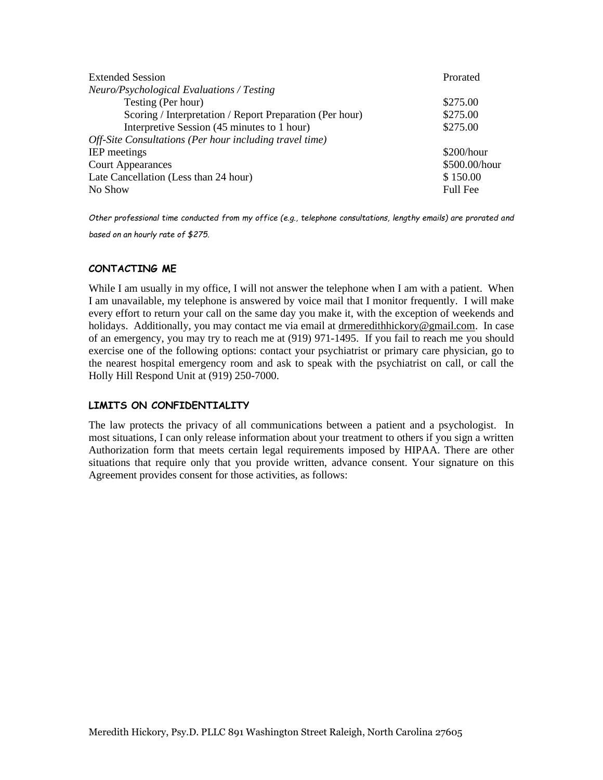| <b>Extended Session</b>                                  | Prorated        |
|----------------------------------------------------------|-----------------|
| Neuro/Psychological Evaluations / Testing                |                 |
| Testing (Per hour)                                       | \$275.00        |
| Scoring / Interpretation / Report Preparation (Per hour) | \$275.00        |
| Interpretive Session (45 minutes to 1 hour)              | \$275.00        |
| Off-Site Consultations (Per hour including travel time)  |                 |
| <b>IEP</b> meetings                                      | \$200/hour      |
| <b>Court Appearances</b>                                 | \$500.00/hour   |
| Late Cancellation (Less than 24 hour)                    | \$150.00        |
| No Show                                                  | <b>Full Fee</b> |

*Other professional time conducted from my office (e.g., telephone consultations, lengthy emails) are prorated and based on an hourly rate of \$275.*

# **CONTACTING ME**

While I am usually in my office, I will not answer the telephone when I am with a patient. When I am unavailable, my telephone is answered by voice mail that I monitor frequently. I will make every effort to return your call on the same day you make it, with the exception of weekends and holidays. Additionally, you may contact me via email at [drmeredithhickory@gmail.com.](mailto:drmeredithhickory@gmail.com) In case of an emergency, you may try to reach me at (919) 971-1495. If you fail to reach me you should exercise one of the following options: contact your psychiatrist or primary care physician, go to the nearest hospital emergency room and ask to speak with the psychiatrist on call, or call the Holly Hill Respond Unit at (919) 250-7000.

# **LIMITS ON CONFIDENTIALITY**

The law protects the privacy of all communications between a patient and a psychologist. In most situations, I can only release information about your treatment to others if you sign a written Authorization form that meets certain legal requirements imposed by HIPAA. There are other situations that require only that you provide written, advance consent. Your signature on this Agreement provides consent for those activities, as follows: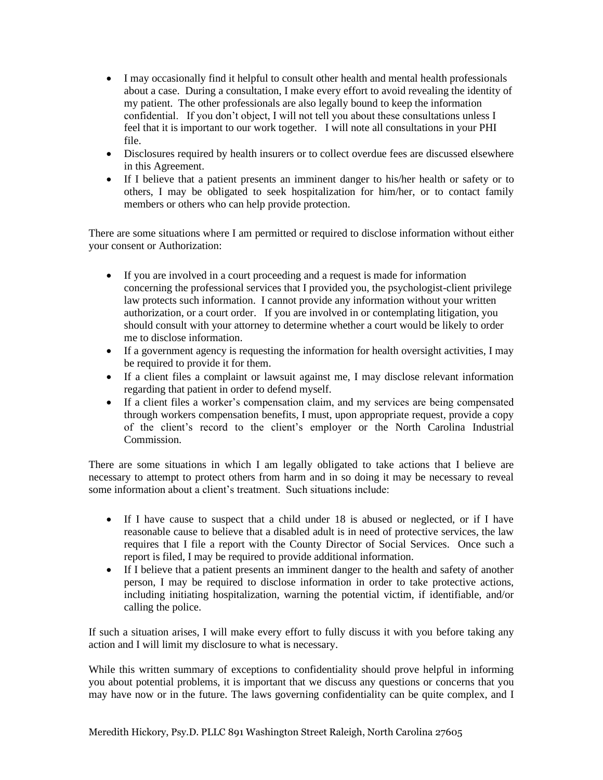- I may occasionally find it helpful to consult other health and mental health professionals about a case. During a consultation, I make every effort to avoid revealing the identity of my patient. The other professionals are also legally bound to keep the information confidential. If you don't object, I will not tell you about these consultations unless I feel that it is important to our work together. I will note all consultations in your PHI file.
- Disclosures required by health insurers or to collect overdue fees are discussed elsewhere in this Agreement.
- If I believe that a patient presents an imminent danger to his/her health or safety or to others, I may be obligated to seek hospitalization for him/her, or to contact family members or others who can help provide protection.

There are some situations where I am permitted or required to disclose information without either your consent or Authorization:

- If you are involved in a court proceeding and a request is made for information concerning the professional services that I provided you, the psychologist-client privilege law protects such information. I cannot provide any information without your written authorization, or a court order. If you are involved in or contemplating litigation, you should consult with your attorney to determine whether a court would be likely to order me to disclose information.
- If a government agency is requesting the information for health oversight activities, I may be required to provide it for them.
- If a client files a complaint or lawsuit against me, I may disclose relevant information regarding that patient in order to defend myself.
- If a client files a worker's compensation claim, and my services are being compensated through workers compensation benefits, I must, upon appropriate request, provide a copy of the client's record to the client's employer or the North Carolina Industrial Commission.

There are some situations in which I am legally obligated to take actions that I believe are necessary to attempt to protect others from harm and in so doing it may be necessary to reveal some information about a client's treatment. Such situations include:

- If I have cause to suspect that a child under 18 is abused or neglected, or if I have reasonable cause to believe that a disabled adult is in need of protective services, the law requires that I file a report with the County Director of Social Services. Once such a report is filed, I may be required to provide additional information.
- If I believe that a patient presents an imminent danger to the health and safety of another person, I may be required to disclose information in order to take protective actions, including initiating hospitalization, warning the potential victim, if identifiable, and/or calling the police.

If such a situation arises, I will make every effort to fully discuss it with you before taking any action and I will limit my disclosure to what is necessary.

While this written summary of exceptions to confidentiality should prove helpful in informing you about potential problems, it is important that we discuss any questions or concerns that you may have now or in the future. The laws governing confidentiality can be quite complex, and I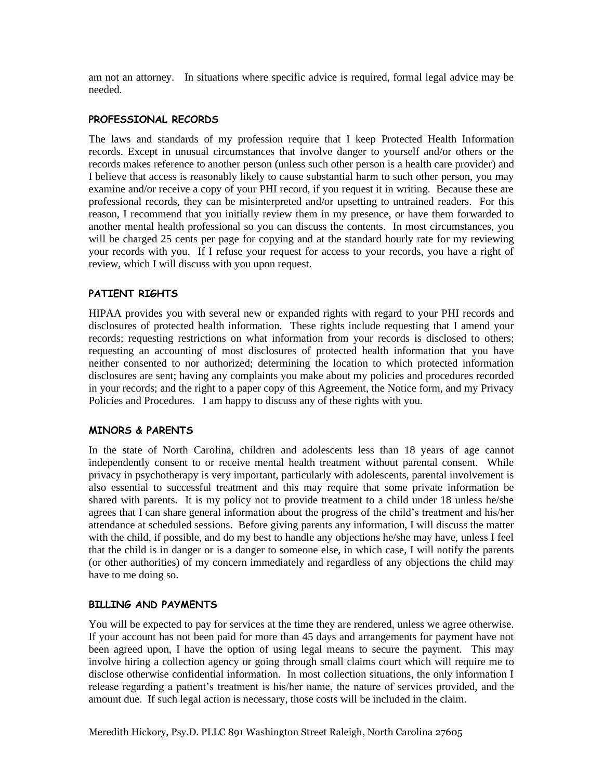am not an attorney. In situations where specific advice is required, formal legal advice may be needed.

#### **PROFESSIONAL RECORDS**

The laws and standards of my profession require that I keep Protected Health Information records. Except in unusual circumstances that involve danger to yourself and/or others or the records makes reference to another person (unless such other person is a health care provider) and I believe that access is reasonably likely to cause substantial harm to such other person, you may examine and/or receive a copy of your PHI record, if you request it in writing. Because these are professional records, they can be misinterpreted and/or upsetting to untrained readers. For this reason, I recommend that you initially review them in my presence, or have them forwarded to another mental health professional so you can discuss the contents. In most circumstances, you will be charged 25 cents per page for copying and at the standard hourly rate for my reviewing your records with you. If I refuse your request for access to your records, you have a right of review, which I will discuss with you upon request.

# **PATIENT RIGHTS**

HIPAA provides you with several new or expanded rights with regard to your PHI records and disclosures of protected health information. These rights include requesting that I amend your records; requesting restrictions on what information from your records is disclosed to others; requesting an accounting of most disclosures of protected health information that you have neither consented to nor authorized; determining the location to which protected information disclosures are sent; having any complaints you make about my policies and procedures recorded in your records; and the right to a paper copy of this Agreement, the Notice form, and my Privacy Policies and Procedures. I am happy to discuss any of these rights with you.

#### **MINORS & PARENTS**

In the state of North Carolina, children and adolescents less than 18 years of age cannot independently consent to or receive mental health treatment without parental consent. While privacy in psychotherapy is very important, particularly with adolescents, parental involvement is also essential to successful treatment and this may require that some private information be shared with parents. It is my policy not to provide treatment to a child under 18 unless he/she agrees that I can share general information about the progress of the child's treatment and his/her attendance at scheduled sessions. Before giving parents any information, I will discuss the matter with the child, if possible, and do my best to handle any objections he/she may have, unless I feel that the child is in danger or is a danger to someone else, in which case, I will notify the parents (or other authorities) of my concern immediately and regardless of any objections the child may have to me doing so.

#### **BILLING AND PAYMENTS**

You will be expected to pay for services at the time they are rendered, unless we agree otherwise. If your account has not been paid for more than 45 days and arrangements for payment have not been agreed upon, I have the option of using legal means to secure the payment. This may involve hiring a collection agency or going through small claims court which will require me to disclose otherwise confidential information. In most collection situations, the only information I release regarding a patient's treatment is his/her name, the nature of services provided, and the amount due. If such legal action is necessary, those costs will be included in the claim.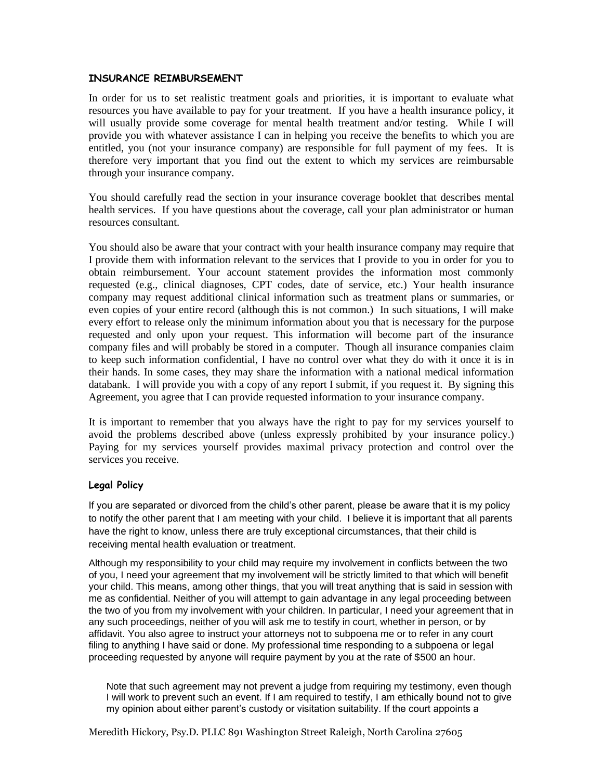# **INSURANCE REIMBURSEMENT**

In order for us to set realistic treatment goals and priorities, it is important to evaluate what resources you have available to pay for your treatment. If you have a health insurance policy, it will usually provide some coverage for mental health treatment and/or testing. While I will provide you with whatever assistance I can in helping you receive the benefits to which you are entitled, you (not your insurance company) are responsible for full payment of my fees. It is therefore very important that you find out the extent to which my services are reimbursable through your insurance company.

You should carefully read the section in your insurance coverage booklet that describes mental health services. If you have questions about the coverage, call your plan administrator or human resources consultant.

You should also be aware that your contract with your health insurance company may require that I provide them with information relevant to the services that I provide to you in order for you to obtain reimbursement. Your account statement provides the information most commonly requested (e.g., clinical diagnoses, CPT codes, date of service, etc.) Your health insurance company may request additional clinical information such as treatment plans or summaries, or even copies of your entire record (although this is not common.) In such situations, I will make every effort to release only the minimum information about you that is necessary for the purpose requested and only upon your request. This information will become part of the insurance company files and will probably be stored in a computer. Though all insurance companies claim to keep such information confidential, I have no control over what they do with it once it is in their hands. In some cases, they may share the information with a national medical information databank. I will provide you with a copy of any report I submit, if you request it. By signing this Agreement, you agree that I can provide requested information to your insurance company.

It is important to remember that you always have the right to pay for my services yourself to avoid the problems described above (unless expressly prohibited by your insurance policy.) Paying for my services yourself provides maximal privacy protection and control over the services you receive.

# **Legal Policy**

If you are separated or divorced from the child's other parent, please be aware that it is my policy to notify the other parent that I am meeting with your child. I believe it is important that all parents have the right to know, unless there are truly exceptional circumstances, that their child is receiving mental health evaluation or treatment.

Although my responsibility to your child may require my involvement in conflicts between the two of you, I need your agreement that my involvement will be strictly limited to that which will benefit your child. This means, among other things, that you will treat anything that is said in session with me as confidential. Neither of you will attempt to gain advantage in any legal proceeding between the two of you from my involvement with your children. In particular, I need your agreement that in any such proceedings, neither of you will ask me to testify in court, whether in person, or by affidavit. You also agree to instruct your attorneys not to subpoena me or to refer in any court filing to anything I have said or done. My professional time responding to a subpoena or legal proceeding requested by anyone will require payment by you at the rate of \$500 an hour.

Note that such agreement may not prevent a judge from requiring my testimony, even though I will work to prevent such an event. If I am required to testify, I am ethically bound not to give my opinion about either parent's custody or visitation suitability. If the court appoints a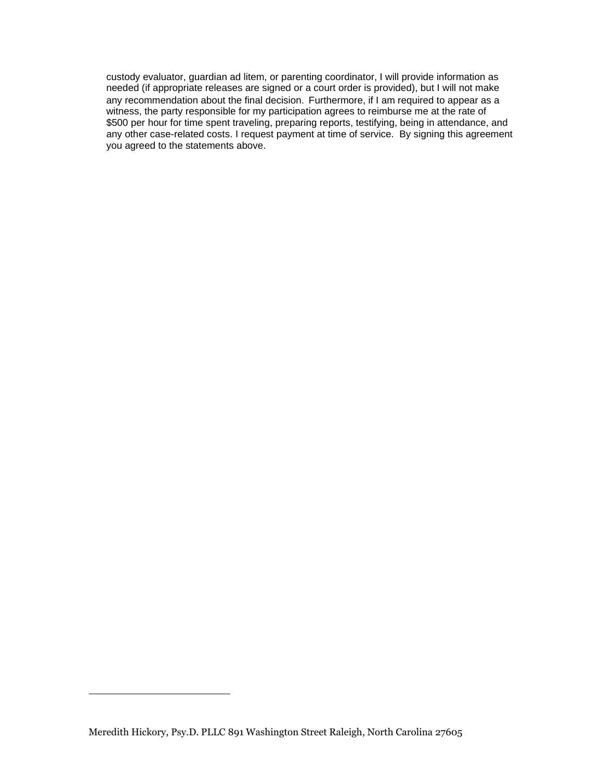custody evaluator, guardian ad litem, or parenting coordinator, I will provide information as needed (if appropriate releases are signed or a court order is provided), but I will not make any recommendation about the final decision. Furthermore, if I am required to appear as a witness, the party responsible for my participation agrees to reimburse me at the rate of \$500 per hour for time spent traveling, preparing reports, testifying, being in attendance, and any other case-related costs. I request payment at time of service. By signing this agreement you agreed to the statements above.